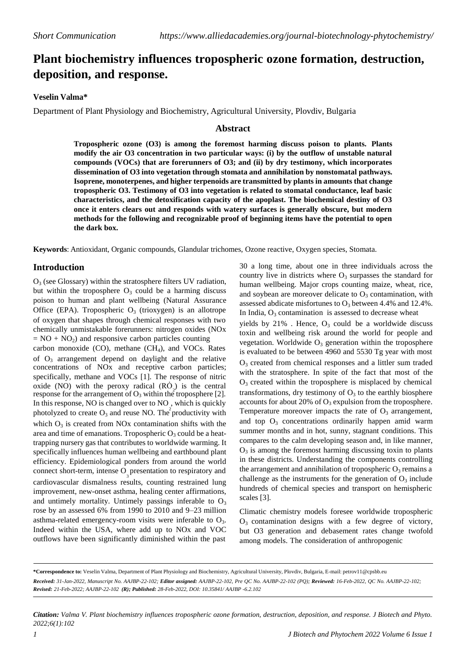# **Plant biochemistry influences tropospheric ozone formation, destruction, deposition, and response.**

# **Veselin Valma\***

Department of Plant Physiology and Biochemistry, Agricultural University, Plovdiv, Bulgaria

### **Abstract**

**Tropospheric ozone (O3) is among the foremost harming discuss poison to plants. Plants modify the air O3 concentration in two particular ways: (i) by the outflow of unstable natural compounds (VOCs) that are forerunners of O3; and (ii) by dry testimony, which incorporates dissemination of O3 into vegetation through stomata and annihilation by nonstomatal pathways. Isoprene, monoterpenes, and higher terpenoids are transmitted by plants in amounts that change tropospheric O3. Testimony of O3 into vegetation is related to stomatal conductance, leaf basic characteristics, and the detoxification capacity of the apoplast. The biochemical destiny of O3 once it enters clears out and responds with watery surfaces is generally obscure, but modern methods for the following and recognizable proof of beginning items have the potential to open the dark box.**

**Keywords**: Antioxidant, Organic compounds, Glandular trichomes, Ozone reactive, Oxygen species, Stomata.

# **Introduction**

 $O<sub>3</sub>$  (see Glossary) within the stratosphere filters UV radiation, but within the troposphere  $O_3$  could be a harming discuss poison to human and plant wellbeing (Natural Assurance Office (EPA). Tropospheric  $O_3$  (trioxygen) is an allotrope of oxygen that shapes through chemical responses with two chemically unmistakable forerunners: nitrogen oxides (NOx  $= NO + NO<sub>2</sub>$ ) and responsive carbon particles counting carbon monoxide  $(CO)$ , methane  $(CH<sub>4</sub>)$ , and VOCs. Rates of  $O_3$  arrangement depend on daylight and the relative concentrations of NOx and receptive carbon particles; specifically, methane and VOCs [1]. The response of nitric oxide (NO) with the peroxy radical  $(RO)$  is the central response for the arrangement of  $O_3$  within the troposphere [2]. transformations, dry testimony of  $O_3$  to the earthly biosphere In this response, NO is changed over to NO, which is quickly accounts for about 20% of  $O_3$  expulsion from the troposphere.<br>
photolyzed to create  $O_3$  and reuse NO. The productivity with Temperature moreover impacts the photolyzed to create  $O_3$  and reuse NO. The productivity with Temperature moreover impacts the rate of  $O_3$  arrangement, which  $O_3$  is created from NOx contamination shifts with the area and time of emanations. Tropospheric  $O_3$  could be a heattrapping nursery gas that contributes to worldwide warming. It specifically influences human wellbeing and earthbound plant efficiency. Epidemiological ponders from around the world connect short-term, intense  $O_3$  presentation to respiratory and cardiovascular dismalness results, counting restrained lung improvement, new-onset asthma, healing center affirmations, and untimely mortality. Untimely passings inferable to  $O_3$ rose by an assessed 6% from 1990 to 2010 and 9–23 million asthma-related emergency-room visits were inferable to  $O_3$ . Indeed within the USA, where add up to NOx and VOC outflows have been significantly diminished within the past

30 a long time, about one in three individuals across the country live in districts where  $O_3$  surpasses the standard for human wellbeing. Major crops counting maize, wheat, rice, and soybean are moreover delicate to  $O_3$  contamination, with assessed abdicate misfortunes to  $O_3$  between 4.4% and 12.4%. In India,  $O_3$  contamination is assessed to decrease wheat yields by  $21\%$ . Hence,  $O_3$  could be a worldwide discuss

toxin and wellbeing risk around the world for people and vegetation. Worldwide  $O_3$  generation within the troposphere is evaluated to be between 4960 and 5530 Tg year with most O<sup>3</sup> created from chemical responses and a littler sum traded with the stratosphere. In spite of the fact that most of the  $O<sub>3</sub>$  created within the troposphere is misplaced by chemical and top  $O_3$  concentrations ordinarily happen amid warm summer months and in hot, sunny, stagnant conditions. This compares to the calm developing season and, in like manner,  $O<sub>3</sub>$  is among the foremost harming discussing toxin to plants in these districts. Understanding the components controlling the arrangement and annihilation of tropospheric  $O_3$  remains a challenge as the instruments for the generation of  $O_3$  include hundreds of chemical species and transport on hemispheric scales [3].

Climatic chemistry models foresee worldwide tropospheric  $O<sub>3</sub>$  contamination designs with a few degree of victory, but O3 generation and debasement rates change twofold among models. The consideration of anthropogenic

**\*Correspondence to:** Veselin Valma, Department of Plant Physiology and Biochemistry, Agricultural University, Plovdiv, Bulgaria, E-mail: [petrov11@cpsbb.eu](mailto:petrov11@cpsbb.eu) Received: 31-Jan-2022, Manuscript No. AAJBP-22-102; Editor assigned: AAJBP-22-102, Pre QC No. AAJBP-22-102 (PQ); Reviewed: 16-Feb-2022, QC No. AAJBP-22-102; *Revised: 21-Feb-2022; AAJBP-22-102 (R); Published: 28-Feb-2022, DOI: 10.35841/ AAJBP -6.2.102*

Citation: Valma V. Plant biochemistry influences tropospheric ozone formation, destruction, deposition, and response. J Biotech and Phyto. *2022;6(1):102*